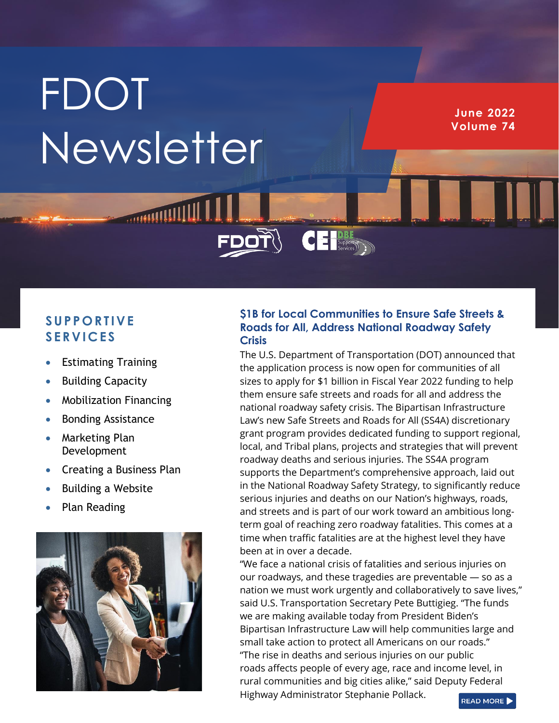## **FDOT Newsletter**

**June 2022 Volume 74**

## **S U P P O R T I V E S E R V I C E S**

- Estimating Training
- **Building Capacity**
- Mobilization Financing
- Bonding Assistance
- Marketing Plan Development
- Creating a Business Plan
- Building a Website
- Plan Reading



## **\$1B for Local Communities to Ensure Safe Streets & Roads for All, Address National Roadway Safety Crisis**

CE Supportive

The U.S. Department of Transportation (DOT) announced that the application process is now open for communities of all sizes to apply for \$1 billion in Fiscal Year 2022 funding to help them ensure safe streets and roads for all and address the national roadway safety crisis. The Bipartisan Infrastructure Law's new Safe Streets and Roads for All (SS4A) discretionary grant program provides dedicated funding to support regional, local, and Tribal plans, projects and strategies that will prevent roadway deaths and serious injuries. The SS4A program supports the Department's comprehensive approach, laid out in the National Roadway Safety Strategy, to significantly reduce serious injuries and deaths on our Nation's highways, roads, and streets and is part of our work toward an ambitious longterm goal of reaching zero roadway fatalities. This comes at a time when traffic fatalities are at the highest level they have been at in over a decade.

"We face a national crisis of fatalities and serious injuries on our roadways, and these tragedies are preventable — so as a nation we must work urgently and collaboratively to save lives," said U.S. Transportation Secretary Pete Buttigieg. "The funds we are making available today from President Biden's Bipartisan Infrastructure Law will help communities large and small take action to protect all Americans on our roads." "The rise in deaths and serious injuries on our public roads affects people of every age, race and income level, in rural communities and big cities alike," said Deputy Federal Highway Administrator Stephanie Pollack. READ MORE